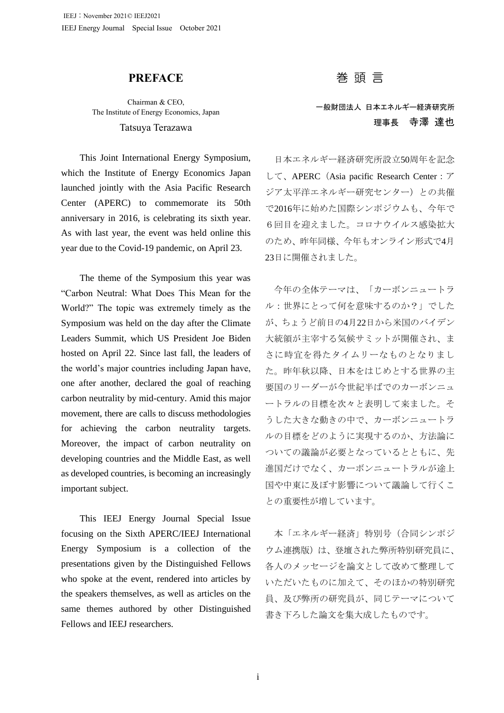## **PREFACE**

Chairman & CEO, The Institute of Energy Economics, Japan Tatsuya Terazawa

This Joint International Energy Symposium, which the Institute of Energy Economics Japan launched jointly with the Asia Pacific Research Center (APERC) to commemorate its 50th anniversary in 2016, is celebrating its sixth year. As with last year, the event was held online this year due to the Covid-19 pandemic, on April 23.

The theme of the Symposium this year was "Carbon Neutral: What Does This Mean for the World?" The topic was extremely timely as the Symposium was held on the day after the Climate Leaders Summit, which US President Joe Biden hosted on April 22. Since last fall, the leaders of the world's major countries including Japan have, one after another, declared the goal of reaching carbon neutrality by mid-century. Amid this major movement, there are calls to discuss methodologies for achieving the carbon neutrality targets. Moreover, the impact of carbon neutrality on developing countries and the Middle East, as well as developed countries, is becoming an increasingly important subject.

This IEEJ Energy Journal Special Issue focusing on the Sixth APERC/IEEJ International Energy Symposium is a collection of the presentations given by the Distinguished Fellows who spoke at the event, rendered into articles by the speakers themselves, as well as articles on the same themes authored by other Distinguished Fellows and IEEJ researchers.

巻 頭 言

一般財団法人 日本エネルギー経済研究所 理事長 寺澤 達也

日本エネルギー経済研究所設立50周年を記念 して、APERC(Asia pacific Research Center:ア ジア太平洋エネルギー研究センター)との共催 で2016年に始めた国際シンポジウムも、今年で 6回目を迎えました。コロナウイルス感染拡大 のため、昨年同様、今年もオンライン形式で4月 23日に開催されました。

今年の全体テーマは、「カーボンニュートラ ル:世界にとって何を意味するのか?」でした が、ちょうど前日の4月22日から米国のバイデン 大統領が主宰する気候サミットが開催され、ま さに時宜を得たタイムリーなものとなりまし た。昨年秋以降、日本をはじめとする世界の主 要国のリーダーが今世紀半ばでのカーボンニュ ートラルの目標を次々と表明して来ました。そ うした大きな動きの中で、カーボンニュートラ ルの目標をどのように実現するのか、方法論に ついての議論が必要となっているとともに、先 進国だけでなく、カーボンニュートラルが途上 国や中東に及ぼす影響について議論して行くこ との重要性が増しています。

本「エネルギー経済」特別号(合同シンポジ ウム連携版)は、登壇された弊所特別研究員に、 各人のメッセージを論文として改めて整理して いただいたものに加えて、そのほかの特別研究 員、及び弊所の研究員が、同じテーマについて 書き下ろした論文を集大成したものです。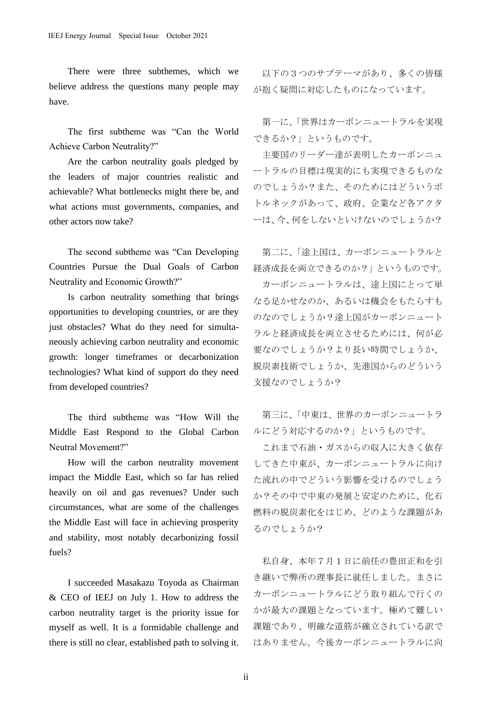There were three subthemes, which we believe address the questions many people may have.

The first subtheme was "Can the World Achieve Carbon Neutrality?"

Are the carbon neutrality goals pledged by the leaders of major countries realistic and achievable? What bottlenecks might there be, and what actions must governments, companies, and other actors now take?

The second subtheme was "Can Developing Countries Pursue the Dual Goals of Carbon Neutrality and Economic Growth?"

Is carbon neutrality something that brings opportunities to developing countries, or are they just obstacles? What do they need for simultaneously achieving carbon neutrality and economic growth: longer timeframes or decarbonization technologies? What kind of support do they need from developed countries?

The third subtheme was "How Will the Middle East Respond to the Global Carbon Neutral Movement?"

How will the carbon neutrality movement impact the Middle East, which so far has relied heavily on oil and gas revenues? Under such circumstances, what are some of the challenges the Middle East will face in achieving prosperity and stability, most notably decarbonizing fossil fuels?

I succeeded Masakazu Toyoda as Chairman & CEO of IEEJ on July 1. How to address the carbon neutrality target is the priority issue for myself as well. It is a formidable challenge and there is still no clear, established path to solving it.

以下の3つのサブテーマがあり、多くの皆様 が抱く疑問に対応したものになっています。

第一に、「世界はカーボンニュートラルを実現 できるか?」というものです。

主要国のリーダー達が表明したカーボンニュ ートラルの目標は現実的にも実現できるものな のでしょうか?また、そのためにはどういうボ トルネックがあって、政府、企業など各アクタ ーは、今、何をしないといけないのでしょうか?

第二に、「途上国は、カーボンニュートラルと 経済成長を両立できるのか?」というものです。

カーボンニュートラルは、途上国にとって単 なる足かせなのか、あるいは機会をもたらすも のなのでしょうか?途上国がカーボンニュート ラルと経済成長を両立させるためには、何が必 要なのでしょうか?より長い時間でしょうか、 脱炭素技術でしょうか、先進国からのどういう 支援なのでしょうか?

第三に、「中東は、世界のカーボンニュートラ ルにどう対応するのか?」というものです。

これまで石油・ガスからの収入に大きく依存 してきた中東が、カーボンニュートラルに向け た流れの中でどういう影響を受けるのでしょう か?その中で中東の発展と安定のために、化石 燃料の脱炭素化をはじめ、どのような課題があ るのでしょうか?

私自身、本年7月1日に前任の豊田正和を引 き継いで弊所の理事長に就任しました。まさに カーボンニュートラルにどう取り組んで行くの かが最大の課題となっています。極めて難しい 課題であり、明確な道筋が確立されている訳で はありません。今後カーボンニュートラルに向